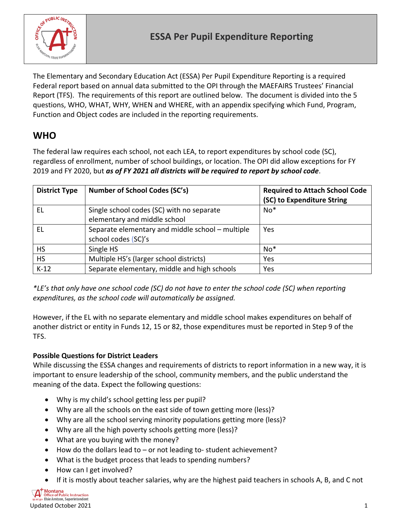

The Elementary and Secondary Education Act (ESSA) Per Pupil Expenditure Reporting is a required Federal report based on annual data submitted to the OPI through the MAEFAIRS Trustees' Financial Report (TFS). The requirements of this report are outlined below. The document is divided into the 5 questions, WHO, WHAT, WHY, WHEN and WHERE, with an appendix specifying which Fund, Program, Function and Object codes are included in the reporting requirements.

## **WHO**

The federal law requires each school, not each LEA, to report expenditures by school code (SC), regardless of enrollment, number of school buildings, or location. The OPI did allow exceptions for FY 2019 and FY 2020, but *as of FY 2021 all districts will be required to report by school code*.

| <b>District Type</b> | <b>Number of School Codes (SC's)</b>             | <b>Required to Attach School Code</b> |
|----------------------|--------------------------------------------------|---------------------------------------|
|                      |                                                  | (SC) to Expenditure String            |
| EL                   | Single school codes (SC) with no separate        | $No*$                                 |
|                      | elementary and middle school                     |                                       |
| ΕL                   | Separate elementary and middle school - multiple | Yes                                   |
|                      | school codes (SC)'s                              |                                       |
| <b>HS</b>            | Single HS                                        | $No*$                                 |
| <b>HS</b>            | Multiple HS's (larger school districts)          | Yes                                   |
| $K-12$               | Separate elementary, middle and high schools     | Yes                                   |

*\*LE's that only have one school code (SC) do not have to enter the school code (SC) when reporting expenditures, as the school code will automatically be assigned.* 

However, if the EL with no separate elementary and middle school makes expenditures on behalf of another district or entity in Funds 12, 15 or 82, those expenditures must be reported in Step 9 of the TFS.

#### **Possible Questions for District Leaders**

While discussing the ESSA changes and requirements of districts to report information in a new way, it is important to ensure leadership of the school, community members, and the public understand the meaning of the data. Expect the following questions:

- Why is my child's school getting less per pupil?
- Why are all the schools on the east side of town getting more (less)?
- Why are all the school serving minority populations getting more (less)?
- Why are all the high poverty schools getting more (less)?
- What are you buying with the money?
- How do the dollars lead to or not leading to- student achievement?
- What is the budget process that leads to spending numbers?
- How can I get involved?
- If it is mostly about teacher salaries, why are the highest paid teachers in schools A, B, and C not

**Montana**<br>Office of Public Instruction Elsie Arntzen, Superintendent Updated October 2021 1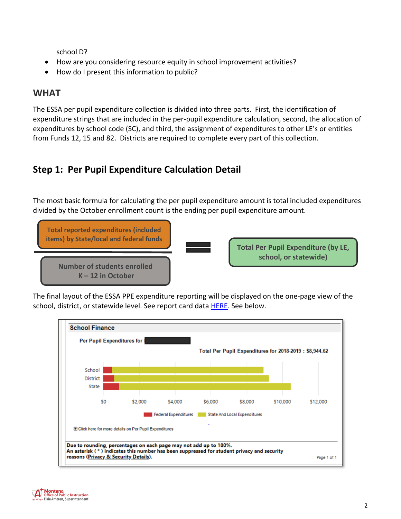school D?

- How are you considering resource equity in school improvement activities?
- How do I present this information to public?

## **WHAT**

The ESSA per pupil expenditure collection is divided into three parts. First, the identification of expenditure strings that are included in the per-pupil expenditure calculation, second, the allocation of expenditures by school code (SC), and third, the assignment of expenditures to other LE's or entities from Funds 12, 15 and 82. Districts are required to complete every part of this collection.

## **Step 1: Per Pupil Expenditure Calculation Detail**

The most basic formula for calculating the per pupil expenditure amount is total included expenditures divided by the October enrollment count is the ending per pupil expenditure amount.



The final layout of the ESSA PPE expenditure reporting will be displayed on the one-page view of the school, district, or statewide level. See report card data [HERE.](http://opi.mt.gov/Leadership/Academic-Success/Every-Student-Succeeds-Act-ESSA/Report-Card) See below.

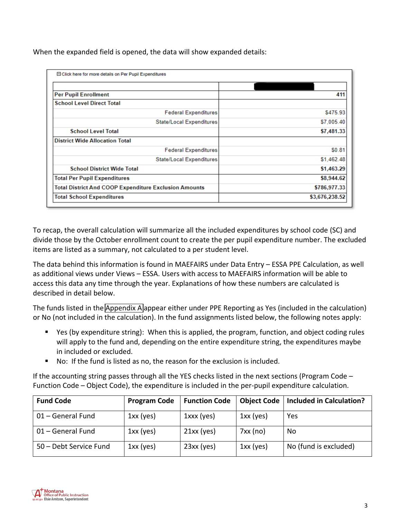| When the expanded field is opened, the data will show expanded details: |  |  |
|-------------------------------------------------------------------------|--|--|
|-------------------------------------------------------------------------|--|--|

| □ Click here for more details on Per Pupil Expenditures      |                |
|--------------------------------------------------------------|----------------|
|                                                              |                |
| <b>Per Pupil Enrollment</b>                                  | 411            |
| <b>School Level Direct Total</b>                             |                |
| <b>Federal Expenditures</b>                                  | \$475.93       |
| <b>State/Local Expenditures</b>                              | \$7,005.40     |
| <b>School Level Total</b>                                    | \$7,481.33     |
| <b>District Wide Allocation Total</b>                        |                |
| <b>Federal Expenditures</b>                                  | \$0.81         |
| <b>State/Local Expenditures</b>                              | \$1,462.48     |
| <b>School District Wide Total</b>                            | \$1,463.29     |
| <b>Total Per Pupil Expenditures</b>                          | \$8,944.62     |
| <b>Total District And COOP Expenditure Exclusion Amounts</b> | \$786,977.33   |
| <b>Total School Expenditures</b>                             | \$3,676,238.52 |

To recap, the overall calculation will summarize all the included expenditures by school code (SC) and divide those by the October enrollment count to create the per pupil expenditure number. The excluded items are listed as a summary, not calculated to a per student level.

The data behind this information is found in MAEFAIRS under Data Entry – ESSA PPE Calculation, as well as additional views under Views – ESSA. Users with access to MAEFAIRS information will be able to access this data any time through the year. Explanations of how these numbers are calculated is described in detail below.

The funds listed in the [Appendix A](#page-7-0) appear either under PPE Reporting as Yes (included in the calculation) or No (not included in the calculation). In the fund assignments listed below, the following notes apply:

- Yes (by expenditure string): When this is applied, the program, function, and object coding rules will apply to the fund and, depending on the entire expenditure string, the expenditures maybe in included or excluded.
- No: If the fund is listed as no, the reason for the exclusion is included.

If the accounting string passes through all the YES checks listed in the next sections (Program Code – Function Code – Object Code), the expenditure is included in the per-pupil expenditure calculation.

| <b>Fund Code</b>       | <b>Program Code</b> | <b>Function Code</b> |             | Object Code   Included in Calculation? |
|------------------------|---------------------|----------------------|-------------|----------------------------------------|
| 01 - General Fund      | $1xx$ (yes)         | $1$ xxx (yes)        | $1xx$ (yes) | Yes                                    |
| 01 - General Fund      | $1xx$ (yes)         | $21xx$ (yes)         | 7xx (no)    | No                                     |
| 50 - Debt Service Fund | $1xx$ (yes)         | $23xx$ (yes)         | $1xx$ (yes) | No (fund is excluded)                  |

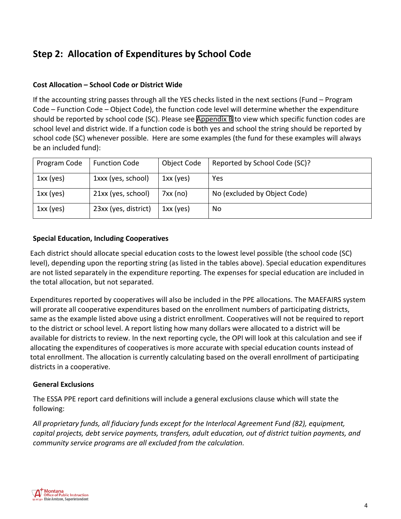# **Step 2: Allocation of Expenditures by School Code**

#### **Cost Allocation – School Code or District Wide**

If the accounting string passes through all the YES checks listed in the next sections (Fund – Program Code – Function Code – Object Code), the function code level will determine whether the expenditure should be reported by school code (SC). Please see [Appendix B](#page-18-0) to view which specific function codes are school level and district wide. If a function code is both yes and school the string should be reported by school code (SC) whenever possible. Here are some examples (the fund for these examples will always be an included fund):

| Program Code | <b>Function Code</b> | Object Code | Reported by School Code (SC)? |
|--------------|----------------------|-------------|-------------------------------|
| $1xx$ (yes)  | 1xxx (yes, school)   | $1xx$ (yes) | Yes                           |
| $1xx$ (yes)  | 21xx (yes, school)   | 7xx (no)    | No (excluded by Object Code)  |
| $1xx$ (yes)  | 23xx (yes, district) | $1xx$ (yes) | No                            |

#### **Special Education, Including Cooperatives**

Each district should allocate special education costs to the lowest level possible (the school code (SC) level), depending upon the reporting string (as listed in the tables above). Special education expenditures are not listed separately in the expenditure reporting. The expenses for special education are included in the total allocation, but not separated.

Expenditures reported by cooperatives will also be included in the PPE allocations. The MAEFAIRS system will prorate all cooperative expenditures based on the enrollment numbers of participating districts, same as the example listed above using a district enrollment. Cooperatives will not be required to report to the district or school level. A report listing how many dollars were allocated to a district will be available for districts to review. In the next reporting cycle, the OPI will look at this calculation and see if allocating the expenditures of cooperatives is more accurate with special education counts instead of total enrollment. The allocation is currently calculating based on the overall enrollment of participating districts in a cooperative.

#### **General Exclusions**

The ESSA PPE report card definitions will include a general exclusions clause which will state the following:

*All proprietary funds, all fiduciary funds except for the Interlocal Agreement Fund (82), equipment, capital projects, debt service payments, transfers, adult education, out of district tuition payments, and community service programs are all excluded from the calculation.*

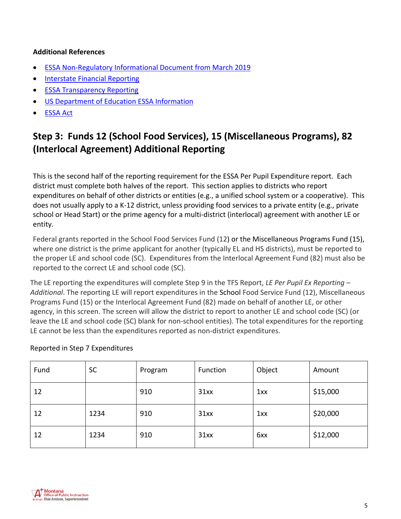#### **Additional References**

- [ESSA Non-Regulatory Informational Document from March 2019](https://www2.ed.gov/policy/elsec/leg/essa/rptcardpubliccomment3282019.pdf)
- [Interstate Financial Reporting](https://edunomicslab.org/wp-content/uploads/2018/03/Interstate-Financial-Reporting_FINAL-V2.pdf)
- **[ESSA Transparency Reporting](http://www.bscpcenter.org/ftresources/)**
- [US Department of Education ESSA Information](https://www2.ed.gov/policy/elsec/leg/essa/index.html)
- [ESSA Act](https://www.gpo.gov/fdsys/pkg/BILLS-114s1177enr/pdf/BILLS-114s1177enr.pdf)

# **Step 3: Funds 12 (School Food Services), 15 (Miscellaneous Programs), 82 (Interlocal Agreement) Additional Reporting**

This is the second half of the reporting requirement for the ESSA Per Pupil Expenditure report. Each district must complete both halves of the report. This section applies to districts who report expenditures on behalf of other districts or entities (e.g., a unified school system or a cooperative). This does not usually apply to a K-12 district, unless providing food services to a private entity (e.g., private school or Head Start) or the prime agency for a multi-district (interlocal) agreement with another LE or entity.

Federal grants reported in the School Food Services Fund (12) or the Miscellaneous Programs Fund (15), where one district is the prime applicant for another (typically EL and HS districts), must be reported to the proper LE and school code (SC). Expenditures from the Interlocal Agreement Fund (82) must also be reported to the correct LE and school code (SC).

The LE reporting the expenditures will complete Step 9 in the TFS Report, *LE Per Pupil Ex Reporting – Additional*. The reporting LE will report expenditures in the School Food Service Fund (12), Miscellaneous Programs Fund (15) or the Interlocal Agreement Fund (82) made on behalf of another LE, or other agency, in this screen. The screen will allow the district to report to another LE and school code (SC) (or leave the LE and school code (SC) blank for non-school entities). The total expenditures for the reporting LE cannot be less than the expenditures reported as non-district expenditures.

#### Reported in Step 7 Expenditures

| Fund | <b>SC</b> | Program | Function | Object | Amount   |
|------|-----------|---------|----------|--------|----------|
| 12   |           | 910     | 31xx     | 1xx    | \$15,000 |
| 12   | 1234      | 910     | 31xx     | 1xx    | \$20,000 |
| 12   | 1234      | 910     | 31xx     | 6xx    | \$12,000 |

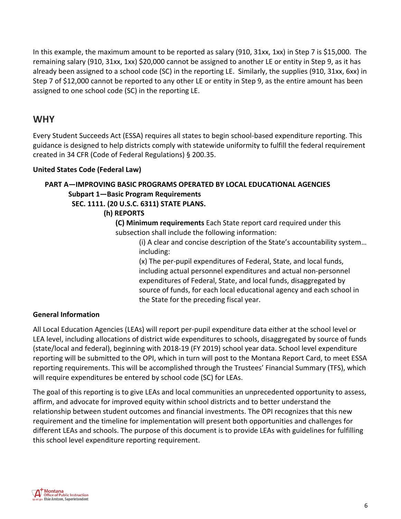In this example, the maximum amount to be reported as salary (910, 31xx, 1xx) in Step 7 is \$15,000. The remaining salary (910, 31xx, 1xx) \$20,000 cannot be assigned to another LE or entity in Step 9, as it has already been assigned to a school code (SC) in the reporting LE. Similarly, the supplies (910, 31xx, 6xx) in Step 7 of \$12,000 cannot be reported to any other LE or entity in Step 9, as the entire amount has been assigned to one school code (SC) in the reporting LE.

## **WHY**

Every Student Succeeds Act (ESSA) requires all states to begin school-based expenditure reporting. This guidance is designed to help districts comply with statewide uniformity to fulfill the federal requirement created in 34 CFR (Code of Federal Regulations) § 200.35.

#### **United States Code (Federal Law)**

### **PART A—IMPROVING BASIC PROGRAMS OPERATED BY LOCAL EDUCATIONAL AGENCIES Subpart 1—Basic Program Requirements**

#### **SEC. 1111. (20 U.S.C. 6311) STATE PLANS.**

#### **(h) REPORTS**

**(C) Minimum requirements** Each State report card required under this subsection shall include the following information:

> (i) A clear and concise description of the State's accountability system… including:

(x) The per-pupil expenditures of Federal, State, and local funds, including actual personnel expenditures and actual non-personnel expenditures of Federal, State, and local funds, disaggregated by source of funds, for each local educational agency and each school in the State for the preceding fiscal year.

#### **General Information**

All Local Education Agencies (LEAs) will report per-pupil expenditure data either at the school level or LEA level, including allocations of district wide expenditures to schools, disaggregated by source of funds (state/local and federal), beginning with 2018-19 (FY 2019) school year data. School level expenditure reporting will be submitted to the OPI, which in turn will post to the Montana Report Card, to meet ESSA reporting requirements. This will be accomplished through the Trustees' Financial Summary (TFS), which will require expenditures be entered by school code (SC) for LEAs.

The goal of this reporting is to give LEAs and local communities an unprecedented opportunity to assess, affirm, and advocate for improved equity within school districts and to better understand the relationship between student outcomes and financial investments. The OPI recognizes that this new requirement and the timeline for implementation will present both opportunities and challenges for different LEAs and schools. The purpose of this document is to provide LEAs with guidelines for fulfilling this school level expenditure reporting requirement.

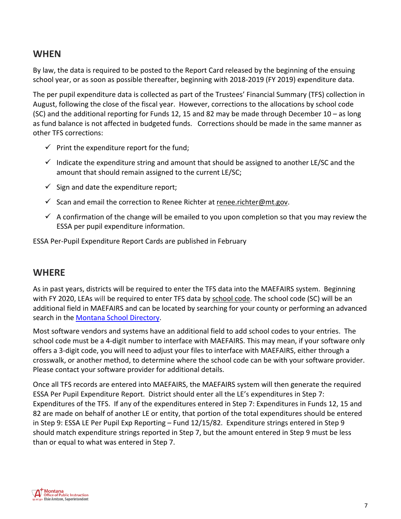## **WHEN**

By law, the data is required to be posted to the Report Card released by the beginning of the ensuing school year, or as soon as possible thereafter, beginning with 2018-2019 (FY 2019) expenditure data.

The per pupil expenditure data is collected as part of the Trustees' Financial Summary (TFS) collection in August, following the close of the fiscal year. However, corrections to the allocations by school code (SC) and the additional reporting for Funds 12, 15 and 82 may be made through December 10 – as long as fund balance is not affected in budgeted funds. Corrections should be made in the same manner as other TFS corrections:

- $\checkmark$  Print the expenditure report for the fund;
- $\checkmark$  Indicate the expenditure string and amount that should be assigned to another LE/SC and the amount that should remain assigned to the current LE/SC;
- $\checkmark$  Sign and date the expenditure report;
- $\checkmark$  Scan and email the correction to Renee Richter at [renee.richter@mt.gov.](mailto:renee.richter@mt.gov)
- $\checkmark$  A confirmation of the change will be emailed to you upon completion so that you may review the ESSA per pupil expenditure information.

ESSA Per-Pupil Expenditure Report Cards are published in February

## **WHERE**

As in past years, districts will be required to enter the TFS data into the MAEFAIRS system. Beginning with FY 2020, LEAs will be required to enter TFS data by school code. The school code (SC) will be an additional field in MAEFAIRS and can be located by searching for your county or performing an advanced search in the [Montana School Directory.](http://opi.mt.gov/SchoolDirectory)

Most software vendors and systems have an additional field to add school codes to your entries. The school code must be a 4-digit number to interface with MAEFAIRS. This may mean, if your software only offers a 3-digit code, you will need to adjust your files to interface with MAEFAIRS, either through a crosswalk, or another method, to determine where the school code can be with your software provider. Please contact your software provider for additional details.

Once all TFS records are entered into MAEFAIRS, the MAEFAIRS system will then generate the required ESSA Per Pupil Expenditure Report. District should enter all the LE's expenditures in Step 7: Expenditures of the TFS. If any of the expenditures entered in Step 7: Expenditures in Funds 12, 15 and 82 are made on behalf of another LE or entity, that portion of the total expenditures should be entered in Step 9: ESSA LE Per Pupil Exp Reporting – Fund 12/15/82. Expenditure strings entered in Step 9 should match expenditure strings reported in Step 7, but the amount entered in Step 9 must be less than or equal to what was entered in Step 7.

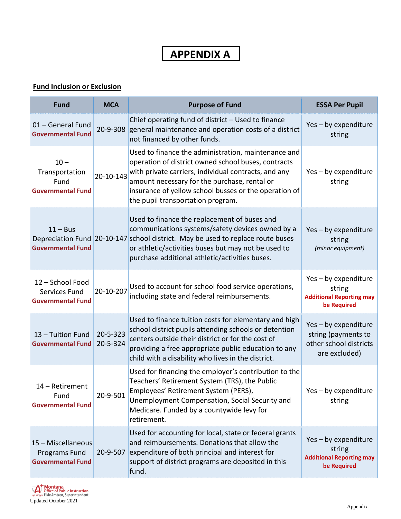# **APPENDIX A**

#### <span id="page-7-0"></span>**Fund Inclusion or Exclusion**

| <b>Fund</b>                                                     | <b>MCA</b>           | <b>Purpose of Fund</b>                                                                                                                                                                                                                                                                                           | <b>ESSA Per Pupil</b>                                                                  |
|-----------------------------------------------------------------|----------------------|------------------------------------------------------------------------------------------------------------------------------------------------------------------------------------------------------------------------------------------------------------------------------------------------------------------|----------------------------------------------------------------------------------------|
| 01 - General Fund<br><b>Governmental Fund</b>                   | 20-9-308             | Chief operating fund of district - Used to finance<br>general maintenance and operation costs of a district<br>not financed by other funds.                                                                                                                                                                      | Yes - by expenditure<br>string                                                         |
| $10 -$<br>Transportation<br>Fund<br><b>Governmental Fund</b>    | 20-10-143            | Used to finance the administration, maintenance and<br>operation of district owned school buses, contracts<br>with private carriers, individual contracts, and any<br>amount necessary for the purchase, rental or<br>insurance of yellow school busses or the operation of<br>the pupil transportation program. | Yes - by expenditure<br>string                                                         |
| $11 - Bus$<br><b>Governmental Fund</b>                          |                      | Used to finance the replacement of buses and<br>communications systems/safety devices owned by a<br>Depreciation Fund 20-10-147 school district. May be used to replace route buses<br>or athletic/activities buses but may not be used to<br>purchase additional athletic/activities buses.                     | Yes - by expenditure<br>string<br>(minor equipment)                                    |
| 12 - School Food<br>Services Fund<br><b>Governmental Fund</b>   | 20-10-207            | Used to account for school food service operations,<br>including state and federal reimbursements.                                                                                                                                                                                                               | Yes - by expenditure<br>string<br><b>Additional Reporting may</b><br>be Required       |
| 13 - Tuition Fund<br><b>Governmental Fund</b>                   | 20-5-323<br>20-5-324 | Used to finance tuition costs for elementary and high<br>school district pupils attending schools or detention<br>centers outside their district or for the cost of<br>providing a free appropriate public education to any<br>child with a disability who lives in the district.                                | Yes - by expenditure<br>string (payments to<br>other school districts<br>are excluded) |
| 14 - Retirement<br>Fund<br><b>Governmental Fund</b>             | 20-9-501             | Used for financing the employer's contribution to the<br>Teachers' Retirement System (TRS), the Public<br>Employees' Retirement System (PERS),<br>Unemployment Compensation, Social Security and<br>Medicare. Funded by a countywide levy for<br>retirement.                                                     | Yes - by expenditure<br>string                                                         |
| 15 - Miscellaneous<br>Programs Fund<br><b>Governmental Fund</b> | 20-9-507             | Used for accounting for local, state or federal grants<br>and reimbursements. Donations that allow the<br>expenditure of both principal and interest for<br>support of district programs are deposited in this<br>fund.                                                                                          | Yes - by expenditure<br>string<br><b>Additional Reporting may</b><br>be Required       |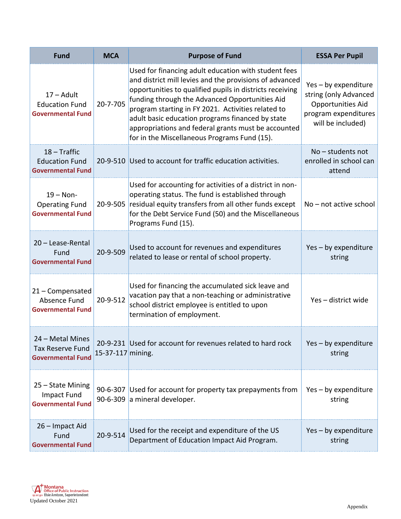| <b>Fund</b>                                                                | <b>MCA</b>        | <b>Purpose of Fund</b>                                                                                                                                                                                                                                                                                                                                                                                                                         | <b>ESSA Per Pupil</b>                                                                                           |
|----------------------------------------------------------------------------|-------------------|------------------------------------------------------------------------------------------------------------------------------------------------------------------------------------------------------------------------------------------------------------------------------------------------------------------------------------------------------------------------------------------------------------------------------------------------|-----------------------------------------------------------------------------------------------------------------|
| $17 -$ Adult<br><b>Education Fund</b><br><b>Governmental Fund</b>          | 20-7-705          | Used for financing adult education with student fees<br>and district mill levies and the provisions of advanced<br>opportunities to qualified pupils in districts receiving<br>funding through the Advanced Opportunities Aid<br>program starting in FY 2021. Activities related to<br>adult basic education programs financed by state<br>appropriations and federal grants must be accounted<br>for in the Miscellaneous Programs Fund (15). | Yes - by expenditure<br>string (only Advanced<br>Opportunities Aid<br>program expenditures<br>will be included) |
| $18 - \text{Traffic}$<br><b>Education Fund</b><br><b>Governmental Fund</b> |                   | 20-9-510 Used to account for traffic education activities.                                                                                                                                                                                                                                                                                                                                                                                     | $No$ – students not<br>enrolled in school can<br>attend                                                         |
| $19 - Non-$<br><b>Operating Fund</b><br><b>Governmental Fund</b>           |                   | Used for accounting for activities of a district in non-<br>operating status. The fund is established through<br>20-9-505 residual equity transfers from all other funds except<br>for the Debt Service Fund (50) and the Miscellaneous<br>Programs Fund (15).                                                                                                                                                                                 | No - not active school                                                                                          |
| 20 - Lease-Rental<br>Fund<br><b>Governmental Fund</b>                      | 20-9-509          | Used to account for revenues and expenditures<br>related to lease or rental of school property.                                                                                                                                                                                                                                                                                                                                                | Yes - by expenditure<br>string                                                                                  |
| 21 - Compensated<br>Absence Fund<br><b>Governmental Fund</b>               | 20-9-512          | Used for financing the accumulated sick leave and<br>vacation pay that a non-teaching or administrative<br>school district employee is entitled to upon<br>termination of employment.                                                                                                                                                                                                                                                          | Yes-district wide                                                                                               |
| 24 – Metal Mines<br><b>Tax Reserve Fund</b><br><b>Governmental Fund</b>    | 15-37-117 mining. | 20-9-231 Used for account for revenues related to hard rock                                                                                                                                                                                                                                                                                                                                                                                    | Yes - by expenditure<br>string                                                                                  |
| 25 - State Mining<br>Impact Fund<br><b>Governmental Fund</b>               | $90 - 6 - 307$    | Used for account for property tax prepayments from<br>90-6-309 a mineral developer.                                                                                                                                                                                                                                                                                                                                                            | Yes - by expenditure<br>string                                                                                  |
| 26 - Impact Aid<br>Fund<br><b>Governmental Fund</b>                        | 20-9-514          | Used for the receipt and expenditure of the US<br>Department of Education Impact Aid Program.                                                                                                                                                                                                                                                                                                                                                  | Yes - by expenditure<br>string                                                                                  |

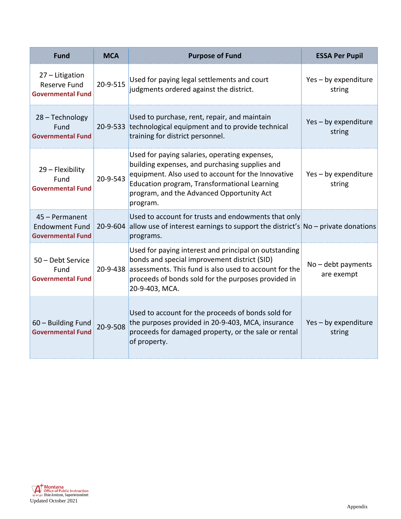| <b>Fund</b>                                                         | <b>MCA</b> | <b>Purpose of Fund</b>                                                                                                                                                                                                                                         | <b>ESSA Per Pupil</b>              |
|---------------------------------------------------------------------|------------|----------------------------------------------------------------------------------------------------------------------------------------------------------------------------------------------------------------------------------------------------------------|------------------------------------|
| 27 - Litigation<br><b>Reserve Fund</b><br><b>Governmental Fund</b>  | 20-9-515   | Used for paying legal settlements and court<br>judgments ordered against the district.                                                                                                                                                                         | Yes - by expenditure<br>string     |
| 28 - Technology<br>Fund<br><b>Governmental Fund</b>                 |            | Used to purchase, rent, repair, and maintain<br>20-9-533 technological equipment and to provide technical<br>training for district personnel.                                                                                                                  | Yes - by expenditure<br>string     |
| 29 - Flexibility<br>Fund<br><b>Governmental Fund</b>                | 20-9-543   | Used for paying salaries, operating expenses,<br>building expenses, and purchasing supplies and<br>equipment. Also used to account for the Innovative<br>Education program, Transformational Learning<br>program, and the Advanced Opportunity Act<br>program. | Yes - by expenditure<br>string     |
| 45 - Permanent<br><b>Endowment Fund</b><br><b>Governmental Fund</b> |            | Used to account for trusts and endowments that only<br>20-9-604 allow use of interest earnings to support the district's $\overline{N}$ No – private donations<br>programs.                                                                                    |                                    |
| 50 - Debt Service<br>Fund<br><b>Governmental Fund</b>               | 20-9-438   | Used for paying interest and principal on outstanding<br>bonds and special improvement district (SID)<br>assessments. This fund is also used to account for the<br>proceeds of bonds sold for the purposes provided in<br>20-9-403, MCA.                       | $No$ – debt payments<br>are exempt |
| 60 - Building Fund<br><b>Governmental Fund</b>                      | 20-9-508   | Used to account for the proceeds of bonds sold for<br>the purposes provided in 20-9-403, MCA, insurance<br>proceeds for damaged property, or the sale or rental<br>of property.                                                                                | Yes - by expenditure<br>string     |

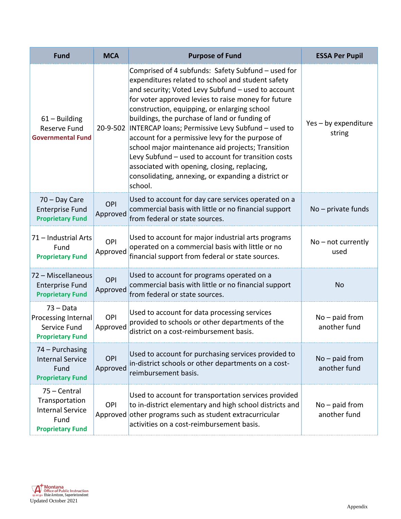| <b>Fund</b>                                                                                  | <b>MCA</b>      | <b>Purpose of Fund</b>                                                                                                                                                                                                                                                                                                                                                                                                                                                                                                                                                                                                                                                | <b>ESSA Per Pupil</b>            |
|----------------------------------------------------------------------------------------------|-----------------|-----------------------------------------------------------------------------------------------------------------------------------------------------------------------------------------------------------------------------------------------------------------------------------------------------------------------------------------------------------------------------------------------------------------------------------------------------------------------------------------------------------------------------------------------------------------------------------------------------------------------------------------------------------------------|----------------------------------|
| $61 -$ Building<br><b>Reserve Fund</b><br><b>Governmental Fund</b>                           |                 | Comprised of 4 subfunds: Safety Subfund - used for<br>expenditures related to school and student safety<br>and security; Voted Levy Subfund - used to account<br>for voter approved levies to raise money for future<br>construction, equipping, or enlarging school<br>buildings, the purchase of land or funding of<br>20-9-502 INTERCAP loans; Permissive Levy Subfund - used to<br>account for a permissive levy for the purpose of<br>school major maintenance aid projects; Transition<br>Levy Subfund - used to account for transition costs<br>associated with opening, closing, replacing,<br>consolidating, annexing, or expanding a district or<br>school. | Yes - by expenditure<br>string   |
| 70 - Day Care<br><b>Enterprise Fund</b><br><b>Proprietary Fund</b>                           | OPI<br>Approved | Used to account for day care services operated on a<br>commercial basis with little or no financial support<br>from federal or state sources.                                                                                                                                                                                                                                                                                                                                                                                                                                                                                                                         | $No$ – private funds             |
| 71 - Industrial Arts<br>Fund<br><b>Proprietary Fund</b>                                      | OPI<br>Approved | Used to account for major industrial arts programs<br>operated on a commercial basis with little or no<br>financial support from federal or state sources.                                                                                                                                                                                                                                                                                                                                                                                                                                                                                                            | $No - not currently$<br>used     |
| 72 - Miscellaneous<br><b>Enterprise Fund</b><br><b>Proprietary Fund</b>                      | OPI<br>Approved | Used to account for programs operated on a<br>commercial basis with little or no financial support<br>from federal or state sources.                                                                                                                                                                                                                                                                                                                                                                                                                                                                                                                                  | <b>No</b>                        |
| $73 - Data$<br>Processing Internal<br>Service Fund<br><b>Proprietary Fund</b>                | OPI<br>Approved | Used to account for data processing services<br>provided to schools or other departments of the<br>district on a cost-reimbursement basis.                                                                                                                                                                                                                                                                                                                                                                                                                                                                                                                            | $No - paid from$<br>another fund |
| 74 - Purchasing<br><b>Internal Service</b><br>Fund<br><b>Proprietary Fund</b>                | OPI<br>Approved | Used to account for purchasing services provided to<br>in-district schools or other departments on a cost-<br>reimbursement basis.                                                                                                                                                                                                                                                                                                                                                                                                                                                                                                                                    | $No - paid from$<br>another fund |
| 75 - Central<br>Transportation<br><b>Internal Service</b><br>Fund<br><b>Proprietary Fund</b> | OPI             | Used to account for transportation services provided<br>to in-district elementary and high school districts and<br>Approved other programs such as student extracurricular<br>activities on a cost-reimbursement basis.                                                                                                                                                                                                                                                                                                                                                                                                                                               | $No$ – paid from<br>another fund |

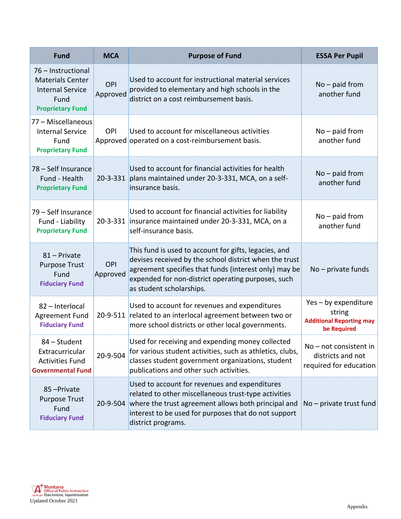| <b>Fund</b>                                                                                                 | <b>MCA</b>      | <b>Purpose of Fund</b>                                                                                                                                                                                                                                     | <b>ESSA Per Pupil</b>                                                            |
|-------------------------------------------------------------------------------------------------------------|-----------------|------------------------------------------------------------------------------------------------------------------------------------------------------------------------------------------------------------------------------------------------------------|----------------------------------------------------------------------------------|
| 76 - Instructional<br><b>Materials Center</b><br><b>Internal Service</b><br>Fund<br><b>Proprietary Fund</b> | OPI<br>Approved | Used to account for instructional material services<br>provided to elementary and high schools in the<br>district on a cost reimbursement basis.                                                                                                           | $No$ – paid from<br>another fund                                                 |
| 77 - Miscellaneous<br><b>Internal Service</b><br>Fund<br><b>Proprietary Fund</b>                            | <b>OPI</b>      | Used to account for miscellaneous activities<br>Approved operated on a cost-reimbursement basis.                                                                                                                                                           | $No$ – paid from<br>another fund                                                 |
| 78 - Self Insurance<br>Fund - Health<br><b>Proprietary Fund</b>                                             | 20-3-331        | Used to account for financial activities for health<br>plans maintained under 20-3-331, MCA, on a self-<br>insurance basis.                                                                                                                                | $No - paid from$<br>another fund                                                 |
| 79 - Self Insurance<br>Fund - Liability<br><b>Proprietary Fund</b>                                          |                 | Used to account for financial activities for liability<br>20-3-331 insurance maintained under 20-3-331, MCA, on a<br>self-insurance basis.                                                                                                                 | $No - paid from$<br>another fund                                                 |
| 81 - Private<br><b>Purpose Trust</b><br>Fund<br><b>Fiduciary Fund</b>                                       | OPI<br>Approved | This fund is used to account for gifts, legacies, and<br>devises received by the school district when the trust<br>agreement specifies that funds (interest only) may be<br>expended for non-district operating purposes, such<br>as student scholarships. | $No$ – private funds                                                             |
| 82 - Interlocal<br>Agreement Fund<br><b>Fiduciary Fund</b>                                                  |                 | Used to account for revenues and expenditures<br>20-9-511 related to an interlocal agreement between two or<br>more school districts or other local governments.                                                                                           | Yes - by expenditure<br>string<br><b>Additional Reporting may</b><br>be Required |
| 84 - Student<br>Extracurricular<br><b>Activities Fund</b><br><b>Governmental Fund</b>                       | 20-9-504        | Used for receiving and expending money collected<br>for various student activities, such as athletics, clubs,<br>classes student government organizations, student<br>publications and other such activities.                                              | $No$ – not consistent in<br>districts and not<br>required for education          |
| 85-Private<br><b>Purpose Trust</b><br>Fund<br><b>Fiduciary Fund</b>                                         | 20-9-504        | Used to account for revenues and expenditures<br>related to other miscellaneous trust-type activities<br>where the trust agreement allows both principal and<br>interest to be used for purposes that do not support<br>district programs.                 | $No$ – private trust fund                                                        |

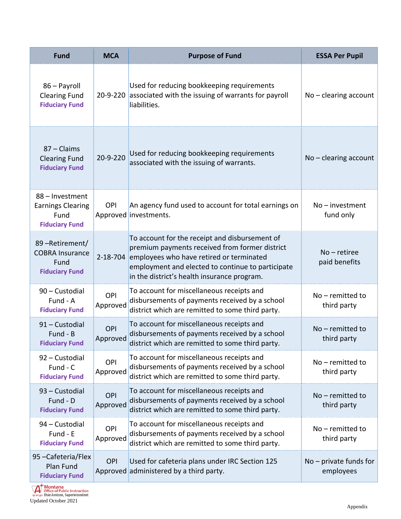| <b>Fund</b>                                                                  | <b>MCA</b>      | <b>Purpose of Fund</b>                                                                                                                                                                                                                           | <b>ESSA Per Pupil</b>                 |
|------------------------------------------------------------------------------|-----------------|--------------------------------------------------------------------------------------------------------------------------------------------------------------------------------------------------------------------------------------------------|---------------------------------------|
| 86 - Payroll<br><b>Clearing Fund</b><br><b>Fiduciary Fund</b>                | 20-9-220        | Used for reducing bookkeeping requirements<br>associated with the issuing of warrants for payroll<br>liabilities.                                                                                                                                | $No - clearing account$               |
| 87 - Claims<br><b>Clearing Fund</b><br><b>Fiduciary Fund</b>                 | 20-9-220        | Used for reducing bookkeeping requirements<br>associated with the issuing of warrants.                                                                                                                                                           | $No - clearing account$               |
| 88 - Investment<br><b>Earnings Clearing</b><br>Fund<br><b>Fiduciary Fund</b> | OPI             | An agency fund used to account for total earnings on<br>Approved investments.                                                                                                                                                                    | $No$ – investment<br>fund only        |
| 89-Retirement/<br><b>COBRA Insurance</b><br>Fund<br><b>Fiduciary Fund</b>    | $2 - 18 - 704$  | To account for the receipt and disbursement of<br>premium payments received from former district<br>employees who have retired or terminated<br>employment and elected to continue to participate<br>in the district's health insurance program. | $No$ – retiree<br>paid benefits       |
| 90 - Custodial<br>Fund - A<br><b>Fiduciary Fund</b>                          | OPI<br>Approved | To account for miscellaneous receipts and<br>disbursements of payments received by a school<br>district which are remitted to some third party.                                                                                                  | $No$ – remitted to<br>third party     |
| 91 - Custodial<br>Fund - B<br><b>Fiduciary Fund</b>                          | OPI<br>Approved | To account for miscellaneous receipts and<br>disbursements of payments received by a school<br>district which are remitted to some third party.                                                                                                  | $No$ – remitted to<br>third party     |
| 92 - Custodial<br>Fund - C<br><b>Fiduciary Fund</b>                          | OPI<br>Approved | To account for miscellaneous receipts and<br>disbursements of payments received by a school<br>district which are remitted to some third party.                                                                                                  | $No$ – remitted to<br>third party     |
| 93 - Custodial<br>Fund - D<br><b>Fiduciary Fund</b>                          | OPI<br>Approved | To account for miscellaneous receipts and<br>disbursements of payments received by a school<br>district which are remitted to some third party.                                                                                                  | $No$ – remitted to<br>third party     |
| 94 - Custodial<br>Fund - E<br><b>Fiduciary Fund</b>                          | OPI<br>Approved | To account for miscellaneous receipts and<br>disbursements of payments received by a school<br>district which are remitted to some third party.                                                                                                  | $No$ – remitted to<br>third party     |
| 95-Cafeteria/Flex<br>Plan Fund<br><b>Fiduciary Fund</b>                      | OPI             | Used for cafeteria plans under IRC Section 125<br>Approved administered by a third party.                                                                                                                                                        | $No$ – private funds for<br>employees |

**The Montana**<br>
Office of Public Instruction<br>
<sub>opintgov</sub> Elsie Amtzen, Superintendent<br>
Updated October 2021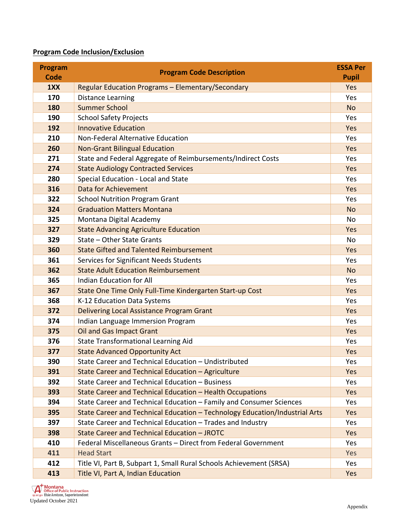#### **Program Code Inclusion/Exclusion**

| <b>Program</b> | <b>Program Code Description</b>                                             | <b>ESSA Per</b> |
|----------------|-----------------------------------------------------------------------------|-----------------|
| <b>Code</b>    |                                                                             | <b>Pupil</b>    |
| 1XX            | Regular Education Programs - Elementary/Secondary                           | Yes             |
| 170            | <b>Distance Learning</b>                                                    | Yes             |
| 180            | <b>Summer School</b>                                                        | <b>No</b>       |
| 190            | <b>School Safety Projects</b>                                               | Yes             |
| 192            | <b>Innovative Education</b>                                                 | Yes             |
| 210            | Non-Federal Alternative Education                                           | Yes             |
| 260            | <b>Non-Grant Bilingual Education</b>                                        | Yes             |
| 271            | State and Federal Aggregate of Reimbursements/Indirect Costs                | Yes             |
| 274            | <b>State Audiology Contracted Services</b>                                  | Yes             |
| 280            | Special Education - Local and State                                         | Yes             |
| 316            | Data for Achievement                                                        | Yes             |
| 322            | <b>School Nutrition Program Grant</b>                                       | Yes             |
| 324            | <b>Graduation Matters Montana</b>                                           | <b>No</b>       |
| 325            | Montana Digital Academy                                                     | No              |
| 327            | <b>State Advancing Agriculture Education</b>                                | Yes             |
| 329            | State - Other State Grants                                                  | <b>No</b>       |
| 360            | <b>State Gifted and Talented Reimbursement</b>                              | Yes             |
| 361            | Services for Significant Needs Students                                     | Yes             |
| 362            | <b>State Adult Education Reimbursement</b>                                  | <b>No</b>       |
| 365            | Indian Education for All                                                    | Yes             |
| 367            | State One Time Only Full-Time Kindergarten Start-up Cost                    | Yes             |
| 368            | K-12 Education Data Systems                                                 | Yes             |
| 372            | Delivering Local Assistance Program Grant                                   | Yes             |
| 374            | Indian Language Immersion Program                                           | Yes             |
| 375            | <b>Oil and Gas Impact Grant</b>                                             | Yes             |
| 376            | <b>State Transformational Learning Aid</b>                                  | Yes             |
| 377            | <b>State Advanced Opportunity Act</b>                                       | Yes             |
| 390            | State Career and Technical Education - Undistributed                        | Yes             |
| 391            | State Career and Technical Education - Agriculture                          | Yes             |
| 392            | State Career and Technical Education - Business                             | Yes             |
| 393            | <b>State Career and Technical Education - Health Occupations</b>            | Yes             |
| 394            | State Career and Technical Education - Family and Consumer Sciences         | Yes             |
| 395            | State Career and Technical Education - Technology Education/Industrial Arts | Yes             |
| 397            | State Career and Technical Education - Trades and Industry                  | Yes             |
| 398            | State Career and Technical Education - JROTC                                | Yes             |
| 410            | Federal Miscellaneous Grants - Direct from Federal Government               | Yes             |
| 411            | <b>Head Start</b>                                                           | Yes             |
| 412            | Title VI, Part B, Subpart 1, Small Rural Schools Achievement (SRSA)         | Yes             |
| 413            | Title VI, Part A, Indian Education                                          | Yes             |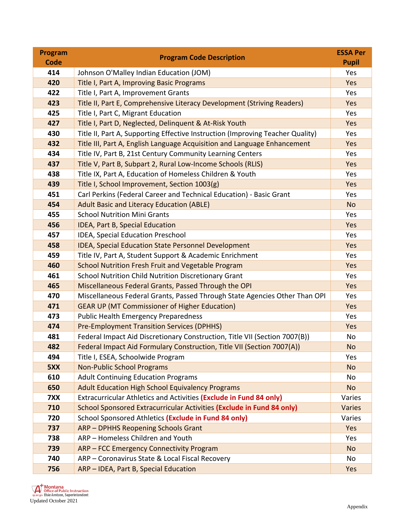| <b>Program</b> | <b>Program Code Description</b>                                                | <b>ESSA Per</b> |
|----------------|--------------------------------------------------------------------------------|-----------------|
| <b>Code</b>    |                                                                                | <b>Pupil</b>    |
| 414            | Johnson O'Malley Indian Education (JOM)                                        | Yes             |
| 420            | Title I, Part A, Improving Basic Programs                                      | Yes             |
| 422            | Title I, Part A, Improvement Grants                                            | Yes             |
| 423            | Title II, Part E, Comprehensive Literacy Development (Striving Readers)        | Yes             |
| 425            | Title I, Part C, Migrant Education                                             | Yes             |
| 427            | Title I, Part D, Neglected, Delinquent & At-Risk Youth                         | Yes             |
| 430            | Title II, Part A, Supporting Effective Instruction (Improving Teacher Quality) | Yes             |
| 432            | Title III, Part A, English Language Acquisition and Language Enhancement       | Yes             |
| 434            | Title IV, Part B, 21st Century Community Learning Centers                      | Yes             |
| 437            | Title V, Part B, Subpart 2, Rural Low-Income Schools (RLIS)                    | Yes             |
| 438            | Title IX, Part A, Education of Homeless Children & Youth                       | Yes             |
| 439            | Title I, School Improvement, Section 1003(g)                                   | Yes             |
| 451            | Carl Perkins (Federal Career and Technical Education) - Basic Grant            | Yes             |
| 454            | <b>Adult Basic and Literacy Education (ABLE)</b>                               | <b>No</b>       |
| 455            | <b>School Nutrition Mini Grants</b>                                            | Yes             |
| 456            | IDEA, Part B, Special Education                                                | Yes             |
| 457            | IDEA, Special Education Preschool                                              | Yes             |
| 458            | <b>IDEA, Special Education State Personnel Development</b>                     | Yes             |
| 459            | Title IV, Part A, Student Support & Academic Enrichment                        | Yes             |
| 460            | School Nutrition Fresh Fruit and Vegetable Program                             | Yes             |
| 461            | School Nutrition Child Nutrition Discretionary Grant                           | Yes             |
| 465            | Miscellaneous Federal Grants, Passed Through the OPI                           |                 |
| 470            | Miscellaneous Federal Grants, Passed Through State Agencies Other Than OPI     | Yes             |
| 471            | <b>GEAR UP (MT Commissioner of Higher Education)</b>                           | Yes             |
| 473            | <b>Public Health Emergency Preparedness</b>                                    | Yes             |
| 474            | <b>Pre-Employment Transition Services (DPHHS)</b>                              | Yes             |
| 481            | Federal Impact Aid Discretionary Construction, Title VII (Section 7007(B))     | No              |
| 482            | Federal Impact Aid Formulary Construction, Title VII (Section 7007(A))         |                 |
| 494            | Title I, ESEA, Schoolwide Program                                              | Yes             |
| 5XX            | <b>Non-Public School Programs</b>                                              | <b>No</b>       |
| 610            | <b>Adult Continuing Education Programs</b>                                     | No              |
| 650            | <b>Adult Education High School Equivalency Programs</b>                        | <b>No</b>       |
| 7XX            | Extracurricular Athletics and Activities (Exclude in Fund 84 only)             | Varies          |
| 710            | School Sponsored Extracurricular Activities (Exclude in Fund 84 only)          | Varies          |
| 720            | School Sponsored Athletics (Exclude in Fund 84 only)                           | Varies          |
| 737            | <b>ARP - DPHHS Reopening Schools Grant</b>                                     | Yes             |
| 738            | ARP - Homeless Children and Youth                                              | Yes             |
| 739            | ARP - FCC Emergency Connectivity Program                                       | <b>No</b>       |
| 740            | ARP - Coronavirus State & Local Fiscal Recovery                                | No              |
| 756            | ARP - IDEA, Part B, Special Education                                          | Yes             |

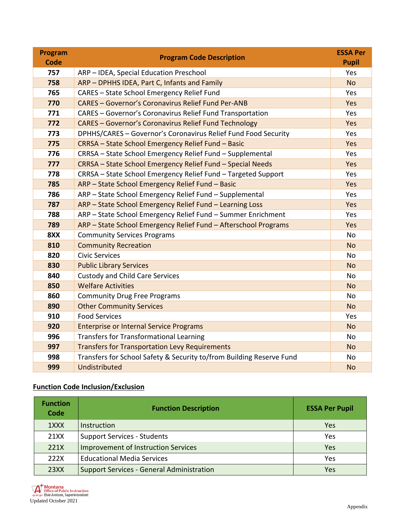| Program<br><b>Code</b> | <b>Program Code Description</b>                                      | <b>ESSA Per</b><br><b>Pupil</b> |
|------------------------|----------------------------------------------------------------------|---------------------------------|
| 757                    | ARP - IDEA, Special Education Preschool                              | Yes                             |
| 758                    | ARP - DPHHS IDEA, Part C, Infants and Family                         | <b>No</b>                       |
| 765                    | CARES - State School Emergency Relief Fund                           | Yes                             |
| 770                    | <b>CARES - Governor's Coronavirus Relief Fund Per-ANB</b>            | Yes                             |
| 771                    | CARES - Governor's Coronavirus Relief Fund Transportation            | Yes                             |
| 772                    | <b>CARES - Governor's Coronavirus Relief Fund Technology</b>         | Yes                             |
| 773                    | DPHHS/CARES - Governor's Coronavirus Relief Fund Food Security       | Yes                             |
| 775                    | CRRSA - State School Emergency Relief Fund - Basic                   | Yes                             |
| 776                    | CRRSA - State School Emergency Relief Fund - Supplemental            | Yes                             |
| 777                    | CRRSA - State School Emergency Relief Fund - Special Needs           | Yes                             |
| 778                    | CRRSA - State School Emergency Relief Fund - Targeted Support        | Yes                             |
| 785                    | ARP - State School Emergency Relief Fund - Basic                     | Yes                             |
| 786                    | ARP - State School Emergency Relief Fund - Supplemental              | Yes                             |
| 787                    | ARP - State School Emergency Relief Fund - Learning Loss             | Yes                             |
| 788                    | ARP - State School Emergency Relief Fund - Summer Enrichment         | Yes                             |
| 789                    | ARP - State School Emergency Relief Fund - Afterschool Programs      | Yes                             |
| 8XX                    | <b>Community Services Programs</b>                                   | <b>No</b>                       |
| 810                    | <b>Community Recreation</b>                                          | <b>No</b>                       |
| 820                    | <b>Civic Services</b>                                                | <b>No</b>                       |
| 830                    | <b>Public Library Services</b>                                       | <b>No</b>                       |
| 840                    | <b>Custody and Child Care Services</b>                               | <b>No</b>                       |
| 850                    | <b>Welfare Activities</b>                                            | <b>No</b>                       |
| 860                    | <b>Community Drug Free Programs</b>                                  | No                              |
| 890                    | <b>Other Community Services</b>                                      | <b>No</b>                       |
| 910                    | <b>Food Services</b>                                                 | Yes                             |
| 920                    | <b>Enterprise or Internal Service Programs</b>                       | <b>No</b>                       |
| 996                    | <b>Transfers for Transformational Learning</b>                       | <b>No</b>                       |
| 997                    | <b>Transfers for Transportation Levy Requirements</b>                | <b>No</b>                       |
| 998                    | Transfers for School Safety & Security to/from Building Reserve Fund | <b>No</b>                       |
| 999                    | Undistributed                                                        | <b>No</b>                       |

### **Function Code Inclusion/Exclusion**

| <b>Function</b><br>Code | <b>Function Description</b>                      | <b>ESSA Per Pupil</b> |
|-------------------------|--------------------------------------------------|-----------------------|
| 1XXX                    | Instruction                                      | Yes                   |
| 21XX                    | <b>Support Services - Students</b>               | Yes                   |
| 221X                    | <b>Improvement of Instruction Services</b>       | Yes                   |
| 222X                    | <b>Educational Media Services</b>                | Yes                   |
| 23XX                    | <b>Support Services - General Administration</b> | Yes                   |

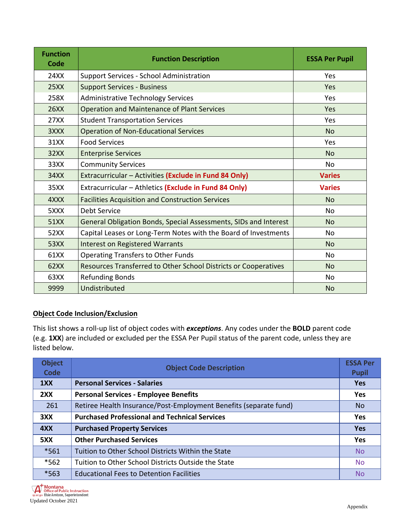| <b>Function</b><br>Code | <b>Function Description</b>                                      | <b>ESSA Per Pupil</b> |
|-------------------------|------------------------------------------------------------------|-----------------------|
| 24XX                    | Support Services - School Administration                         | Yes                   |
| 25XX                    | <b>Support Services - Business</b>                               | Yes                   |
| 258X                    | <b>Administrative Technology Services</b>                        | Yes                   |
| <b>26XX</b>             | <b>Operation and Maintenance of Plant Services</b>               | Yes                   |
| 27XX                    | <b>Student Transportation Services</b>                           | Yes                   |
| 3XXX                    | <b>Operation of Non-Educational Services</b>                     | <b>No</b>             |
| 31XX                    | <b>Food Services</b>                                             | Yes                   |
| 32XX                    | <b>Enterprise Services</b>                                       | <b>No</b>             |
| 33XX                    | <b>Community Services</b>                                        | No.                   |
| 34XX                    | Extracurricular - Activities (Exclude in Fund 84 Only)           | <b>Varies</b>         |
| 35XX                    | Extracurricular - Athletics (Exclude in Fund 84 Only)            | <b>Varies</b>         |
| 4XXX                    | <b>Facilities Acquisition and Construction Services</b>          | <b>No</b>             |
| 5XXX                    | Debt Service                                                     | No                    |
| 51XX                    | General Obligation Bonds, Special Assessments, SIDs and Interest | <b>No</b>             |
| 52XX                    | Capital Leases or Long-Term Notes with the Board of Investments  | No.                   |
| 53XX                    | <b>Interest on Registered Warrants</b>                           | <b>No</b>             |
| 61XX                    | <b>Operating Transfers to Other Funds</b>                        | No                    |
| 62XX                    | Resources Transferred to Other School Districts or Cooperatives  | <b>No</b>             |
| 63XX                    | <b>Refunding Bonds</b>                                           | No                    |
| 9999                    | Undistributed                                                    | No                    |

#### **Object Code Inclusion/Exclusion**

This list shows a roll-up list of object codes with *exceptions*. Any codes under the **BOLD** parent code (e.g. **1XX**) are included or excluded per the ESSA Per Pupil status of the parent code, unless they are listed below.

| <b>Object</b><br><b>Code</b> | <b>Object Code Description</b>                                    | <b>ESSA Per</b><br><b>Pupil</b> |
|------------------------------|-------------------------------------------------------------------|---------------------------------|
| 1XX                          | <b>Personal Services - Salaries</b>                               | <b>Yes</b>                      |
| 2XX                          | <b>Personal Services - Employee Benefits</b>                      | <b>Yes</b>                      |
| 261                          | Retiree Health Insurance/Post-Employment Benefits (separate fund) | No.                             |
| 3XX                          | <b>Purchased Professional and Technical Services</b>              | <b>Yes</b>                      |
| 4XX                          | <b>Purchased Property Services</b>                                | <b>Yes</b>                      |
| 5XX                          | <b>Other Purchased Services</b>                                   | <b>Yes</b>                      |
| $*561$                       | Tuition to Other School Districts Within the State                | <b>No</b>                       |
| $*562$                       | Tuition to Other School Districts Outside the State               | <b>No</b>                       |
| *563                         | <b>Educational Fees to Detention Facilities</b>                   | <b>No</b>                       |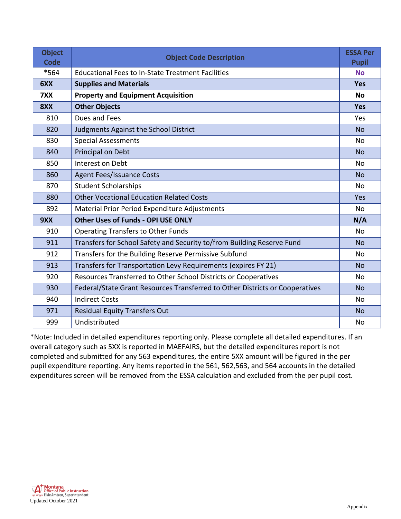| <b>Object</b><br><b>Code</b> | <b>Object Code Description</b>                                               | <b>ESSA Per</b><br><b>Pupil</b> |
|------------------------------|------------------------------------------------------------------------------|---------------------------------|
| *564                         | <b>Educational Fees to In-State Treatment Facilities</b>                     | <b>No</b>                       |
| 6XX                          | <b>Supplies and Materials</b>                                                | <b>Yes</b>                      |
| 7XX                          | <b>Property and Equipment Acquisition</b>                                    | <b>No</b>                       |
| 8XX                          | <b>Other Objects</b>                                                         | <b>Yes</b>                      |
| 810                          | Dues and Fees                                                                | Yes                             |
| 820                          | Judgments Against the School District                                        | <b>No</b>                       |
| 830                          | <b>Special Assessments</b>                                                   | No                              |
| 840                          | Principal on Debt                                                            | <b>No</b>                       |
| 850                          | Interest on Debt                                                             | N <sub>0</sub>                  |
| 860                          | <b>Agent Fees/Issuance Costs</b>                                             | <b>No</b>                       |
| 870                          | <b>Student Scholarships</b>                                                  | No                              |
| 880                          | <b>Other Vocational Education Related Costs</b>                              | Yes                             |
| 892                          | Material Prior Period Expenditure Adjustments                                | No                              |
| 9XX                          | <b>Other Uses of Funds - OPI USE ONLY</b>                                    | N/A                             |
| 910                          | <b>Operating Transfers to Other Funds</b>                                    | No                              |
| 911                          | Transfers for School Safety and Security to/from Building Reserve Fund       | <b>No</b>                       |
| 912                          | Transfers for the Building Reserve Permissive Subfund                        | No                              |
| 913                          | Transfers for Transportation Levy Requirements (expires FY 21)               | <b>No</b>                       |
| 920                          | Resources Transferred to Other School Districts or Cooperatives              | No                              |
| 930                          | Federal/State Grant Resources Transferred to Other Districts or Cooperatives | <b>No</b>                       |
| 940                          | <b>Indirect Costs</b>                                                        | No                              |
| 971                          | <b>Residual Equity Transfers Out</b>                                         | <b>No</b>                       |
| 999                          | Undistributed                                                                | No                              |

\*Note: Included in detailed expenditures reporting only. Please complete all detailed expenditures. If an overall category such as 5XX is reported in MAEFAIRS, but the detailed expenditures report is not completed and submitted for any 563 expenditures, the entire 5XX amount will be figured in the per pupil expenditure reporting. Any items reported in the 561, 562,563, and 564 accounts in the detailed expenditures screen will be removed from the ESSA calculation and excluded from the per pupil cost.